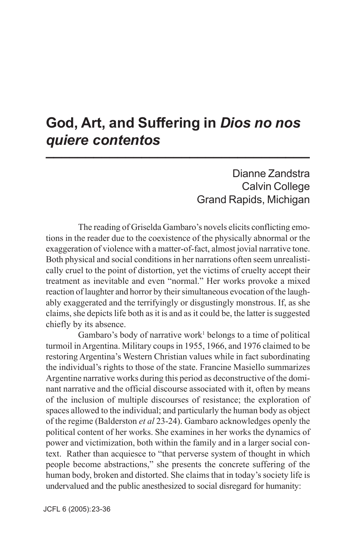### **God, Art, and Suffering in** *Dios no nos quiere contentos* **1**

Dianne Zandstra Calvin College Grand Rapids, Michigan

The reading of Griselda Gambaro's novels elicits conflicting emotions in the reader due to the coexistence of the physically abnormal or the exaggeration of violence with a matter-of-fact, almost jovial narrative tone. Both physical and social conditions in her narrations often seem unrealistically cruel to the point of distortion, yet the victims of cruelty accept their treatment as inevitable and even "normal." Her works provoke a mixed reaction of laughter and horror by their simultaneous evocation of the laughably exaggerated and the terrifyingly or disgustingly monstrous. If, as she claims, she depicts life both as it is and as it could be, the latter is suggested chiefly by its absence.

Gambaro's body of narrative work<sup>1</sup> belongs to a time of political turmoil in Argentina. Military coups in 1955, 1966, and 1976 claimed to be restoring Argentina's Western Christian values while in fact subordinating the individual's rights to those of the state. Francine Masiello summarizes Argentine narrative works during this period as deconstructive of the dominant narrative and the official discourse associated with it, often by means of the inclusion of multiple discourses of resistance; the exploration of spaces allowed to the individual; and particularly the human body as object of the regime (Balderston *et al* 23-24). Gambaro acknowledges openly the political content of her works. She examines in her works the dynamics of power and victimization, both within the family and in a larger social context. Rather than acquiesce to "that perverse system of thought in which people become abstractions," she presents the concrete suffering of the human body, broken and distorted. She claims that in today's society life is undervalued and the public anesthesized to social disregard for humanity: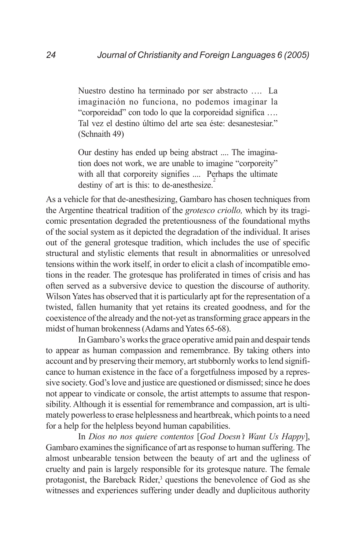Nuestro destino ha terminado por ser abstracto …. La imaginación no funciona, no podemos imaginar la "corporeidad" con todo lo que la corporeidad significa …. Tal vez el destino último del arte sea éste: desanestesiar." (Schnaith 49)

Our destiny has ended up being abstract .... The imagination does not work, we are unable to imagine "corporeity" with all that corporeity signifies .... Perhaps the ultimate destiny of art is this: to de-anesthesize.<sup>2</sup>

As a vehicle for that de-anesthesizing, Gambaro has chosen techniques from the Argentine theatrical tradition of the *grotesco criollo,* which by its tragicomic presentation degraded the pretentiousness of the foundational myths of the social system as it depicted the degradation of the individual. It arises out of the general grotesque tradition, which includes the use of specific structural and stylistic elements that result in abnormalities or unresolved tensions within the work itself, in order to elicit a clash of incompatible emotions in the reader. The grotesque has proliferated in times of crisis and has often served as a subversive device to question the discourse of authority. Wilson Yates has observed that it is particularly apt for the representation of a twisted, fallen humanity that yet retains its created goodness, and for the coexistence of the already and the not-yet as transforming grace appears in the midst of human brokenness (Adams and Yates 65-68).

In Gambaro's works the grace operative amid pain and despair tends to appear as human compassion and remembrance. By taking others into account and by preserving their memory, art stubbornly works to lend significance to human existence in the face of a forgetfulness imposed by a repressive society. God's love and justice are questioned or dismissed; since he does not appear to vindicate or console, the artist attempts to assume that responsibility. Although it is essential for remembrance and compassion, art is ultimately powerless to erase helplessness and heartbreak, which points to a need for a help for the helpless beyond human capabilities.

In *Dios no nos quiere contentos* [*God Doesn't Want Us Happy*], Gambaro examines the significance of art as response to human suffering. The almost unbearable tension between the beauty of art and the ugliness of cruelty and pain is largely responsible for its grotesque nature. The female protagonist, the Bareback Rider,<sup>3</sup> questions the benevolence of God as she witnesses and experiences suffering under deadly and duplicitous authority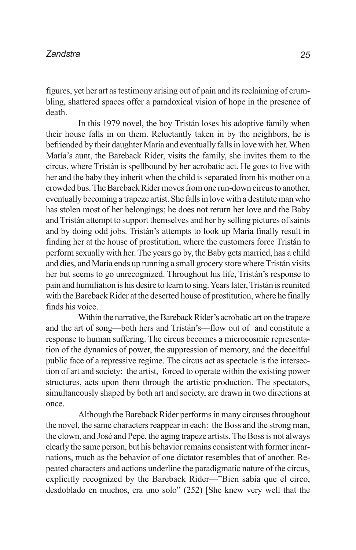figures, yet her art as testimony arising out of pain and its reclaiming of crumbling, shattered spaces offer a paradoxical vision of hope in the presence of death.

In this 1979 novel, the boy Tristán loses his adoptive family when their house falls in on them. Reluctantly taken in by the neighbors, he is befriended by their daughter María and eventually falls in love with her. When María's aunt, the Bareback Rider, visits the family, she invites them to the circus, where Tristán is spellbound by her acrobatic act. He goes to live with her and the baby they inherit when the child is separated from his mother on a crowded bus. The Bareback Rider moves from one run-down circus to another, eventually becoming a trapeze artist. She falls in love with a destitute man who has stolen most of her belongings; he does not return her love and the Baby and Tristán attempt to support themselves and her by selling pictures of saints and by doing odd jobs. Tristán's attempts to look up María finally result in finding her at the house of prostitution, where the customers force Tristán to perform sexually with her. The years go by, the Baby gets married, has a child and dies, and María ends up running a small grocery store where Tristán visits her but seems to go unrecognized. Throughout his life, Tristán's response to pain and humiliation is his desire to learn to sing. Years later, Tristán is reunited with the Bareback Rider at the deserted house of prostitution, where he finally finds his voice.

Within the narrative, the Bareback Rider's acrobatic art on the trapeze and the art of song—both hers and Tristán's—flow out of and constitute a response to human suffering. The circus becomes a microcosmic representation of the dynamics of power, the suppression of memory, and the deceitful public face of a repressive regime. The circus act as spectacle is the intersection of art and society: the artist, forced to operate within the existing power structures, acts upon them through the artistic production. The spectators, simultaneously shaped by both art and society, are drawn in two directions at once.

Although the Bareback Rider performs in many circuses throughout the novel, the same characters reappear in each: the Boss and the strong man, the clown, and José and Pepé, the aging trapeze artists. The Boss is not always clearly the same person, but his behavior remains consistent with former incarnations, much as the behavior of one dictator resembles that of another. Repeated characters and actions underline the paradigmatic nature of the circus, explicitly recognized by the Bareback Rider—"Bien sabía que el circo, desdoblado en muchos, era uno solo" (252) [She knew very well that the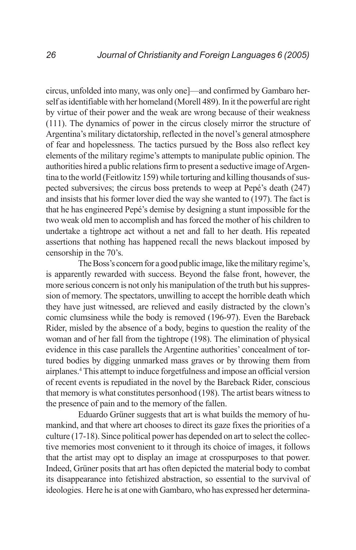circus, unfolded into many, was only one]—and confirmed by Gambaro herself as identifiable with her homeland (Morell 489). In it the powerful are right by virtue of their power and the weak are wrong because of their weakness (111). The dynamics of power in the circus closely mirror the structure of Argentina's military dictatorship, reflected in the novel's general atmosphere of fear and hopelessness. The tactics pursued by the Boss also reflect key elements of the military regime's attempts to manipulate public opinion. The authorities hired a public relations firm to present a seductive image of Argentina to the world (Feitlowitz 159) while torturing and killing thousands of suspected subversives; the circus boss pretends to weep at Pepé's death (247) and insists that his former lover died the way she wanted to (197). The fact is that he has engineered Pepé's demise by designing a stunt impossible for the two weak old men to accomplish and has forced the mother of his children to undertake a tightrope act without a net and fall to her death. His repeated assertions that nothing has happened recall the news blackout imposed by censorship in the 70's.

The Boss's concern for a good public image, like the military regime's, is apparently rewarded with success. Beyond the false front, however, the more serious concern is not only his manipulation of the truth but his suppression of memory. The spectators, unwilling to accept the horrible death which they have just witnessed, are relieved and easily distracted by the clown's comic clumsiness while the body is removed (196-97). Even the Bareback Rider, misled by the absence of a body, begins to question the reality of the woman and of her fall from the tightrope (198). The elimination of physical evidence in this case parallels the Argentine authorities' concealment of tortured bodies by digging unmarked mass graves or by throwing them from airplanes.4 This attempt to induce forgetfulness and impose an official version of recent events is repudiated in the novel by the Bareback Rider, conscious that memory is what constitutes personhood (198). The artist bears witness to the presence of pain and to the memory of the fallen.

Eduardo Grüner suggests that art is what builds the memory of humankind, and that where art chooses to direct its gaze fixes the priorities of a culture (17-18). Since political power has depended on art to select the collective memories most convenient to it through its choice of images, it follows that the artist may opt to display an image at crosspurposes to that power. Indeed, Grüner posits that art has often depicted the material body to combat its disappearance into fetishized abstraction, so essential to the survival of ideologies. Here he is at one with Gambaro, who has expressed her determina-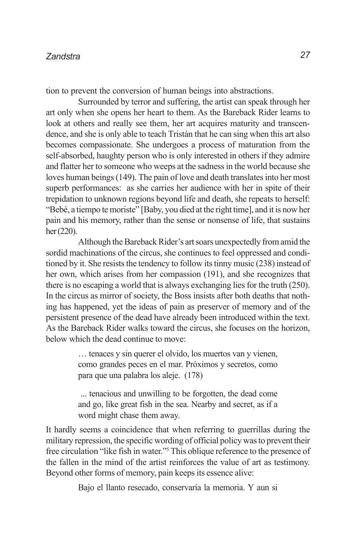tion to prevent the conversion of human beings into abstractions.

Surrounded by terror and suffering, the artist can speak through her art only when she opens her heart to them. As the Bareback Rider learns to look at others and really see them, her art acquires maturity and transcendence, and she is only able to teach Tristán that he can sing when this art also becomes compassionate. She undergoes a process of maturation from the self-absorbed, haughty person who is only interested in others if they admire and flatter her to someone who weeps at the sadness in the world because she loves human beings (149). The pain of love and death translates into her most superb performances: as she carries her audience with her in spite of their trepidation to unknown regions beyond life and death, she repeats to herself: "Bebé, a tiempo te moriste" [Baby, you died at the right time], and it is now her pain and his memory, rather than the sense or nonsense of life, that sustains her (220).

Although the Bareback Rider's art soars unexpectedly from amid the sordid machinations of the circus, she continues to feel oppressed and conditioned by it. She resists the tendency to follow its tinny music (238) instead of her own, which arises from her compassion (191), and she recognizes that there is no escaping a world that is always exchanging lies for the truth (250). In the circus as mirror of society, the Boss insists after both deaths that nothing has happened, yet the ideas of pain as preserver of memory and of the persistent presence of the dead have already been introduced within the text. As the Bareback Rider walks toward the circus, she focuses on the horizon, below which the dead continue to move:

> … tenaces y sin querer el olvido, los muertos van y vienen, como grandes peces en el mar. Próximos y secretos, como para que una palabra los aleje. (178)

> ... tenacious and unwilling to be forgotten, the dead come and go, like great fish in the sea. Nearby and secret, as if a word might chase them away.

It hardly seems a coincidence that when referring to guerrillas during the military repression, the specific wording of official policy was to prevent their free circulation "like fish in water."5 This oblique reference to the presence of the fallen in the mind of the artist reinforces the value of art as testimony. Beyond other forms of memory, pain keeps its essence alive:

Bajo el llanto resecado, conservaría la memoria. Y aun si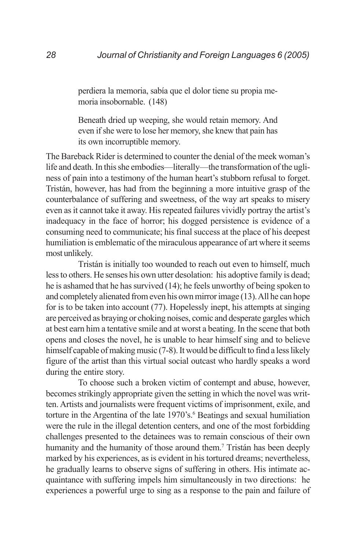perdiera la memoria, sabía que el dolor tiene su propia memoria insobornable. (148)

Beneath dried up weeping, she would retain memory. And even if she were to lose her memory, she knew that pain has its own incorruptible memory.

The Bareback Rider is determined to counter the denial of the meek woman's life and death. In this she embodies—literally—the transformation of the ugliness of pain into a testimony of the human heart's stubborn refusal to forget. Tristán, however, has had from the beginning a more intuitive grasp of the counterbalance of suffering and sweetness, of the way art speaks to misery even as it cannot take it away. His repeated failures vividly portray the artist's inadequacy in the face of horror; his dogged persistence is evidence of a consuming need to communicate; his final success at the place of his deepest humiliation is emblematic of the miraculous appearance of art where it seems most unlikely.

Tristán is initially too wounded to reach out even to himself, much less to others. He senses his own utter desolation: his adoptive family is dead; he is ashamed that he has survived (14); he feels unworthy of being spoken to and completely alienated from even his own mirror image (13). All he can hope for is to be taken into account (77). Hopelessly inept, his attempts at singing are perceived as braying or choking noises, comic and desperate gargles which at best earn him a tentative smile and at worst a beating. In the scene that both opens and closes the novel, he is unable to hear himself sing and to believe himself capable of making music (7-8). It would be difficult to find a less likely figure of the artist than this virtual social outcast who hardly speaks a word during the entire story.

To choose such a broken victim of contempt and abuse, however, becomes strikingly appropriate given the setting in which the novel was written. Artists and journalists were frequent victims of imprisonment, exile, and torture in the Argentina of the late 1970's.<sup>6</sup> Beatings and sexual humiliation were the rule in the illegal detention centers, and one of the most forbidding challenges presented to the detainees was to remain conscious of their own humanity and the humanity of those around them.<sup>7</sup> Tristán has been deeply marked by his experiences, as is evident in his tortured dreams; nevertheless, he gradually learns to observe signs of suffering in others. His intimate acquaintance with suffering impels him simultaneously in two directions: he experiences a powerful urge to sing as a response to the pain and failure of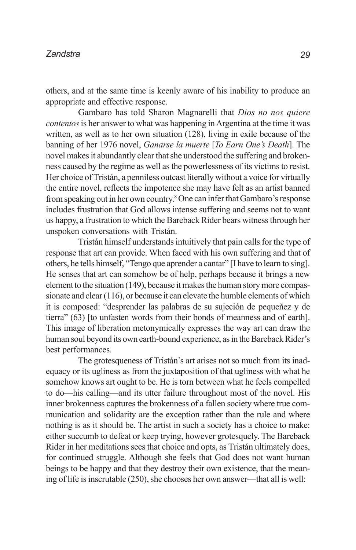others, and at the same time is keenly aware of his inability to produce an appropriate and effective response.

Gambaro has told Sharon Magnarelli that *Dios no nos quiere contentos* is her answer to what was happening in Argentina at the time it was written, as well as to her own situation (128), living in exile because of the banning of her 1976 novel, *Ganarse la muerte* [*To Earn One's Death*]. The novel makes it abundantly clear that she understood the suffering and brokenness caused by the regime as well as the powerlessness of its victims to resist. Her choice of Tristán, a penniless outcast literally without a voice for virtually the entire novel, reflects the impotence she may have felt as an artist banned from speaking out in her own country.<sup>8</sup> One can infer that Gambaro's response includes frustration that God allows intense suffering and seems not to want us happy, a frustration to which the Bareback Rider bears witness through her unspoken conversations with Tristán.

Tristán himself understands intuitively that pain calls for the type of response that art can provide. When faced with his own suffering and that of others, he tells himself, "Tengo que aprender a cantar" [I have to learn to sing]. He senses that art can somehow be of help, perhaps because it brings a new element to the situation (149), because it makes the human story more compassionate and clear (116), or because it can elevate the humble elements of which it is composed: "desprender las palabras de su sujeción de pequeñez y de tierra" (63) [to unfasten words from their bonds of meanness and of earth]. This image of liberation metonymically expresses the way art can draw the human soul beyond its own earth-bound experience, as in the Bareback Rider's best performances.

The grotesqueness of Tristán's art arises not so much from its inadequacy or its ugliness as from the juxtaposition of that ugliness with what he somehow knows art ought to be. He is torn between what he feels compelled to do—his calling—and its utter failure throughout most of the novel. His inner brokenness captures the brokenness of a fallen society where true communication and solidarity are the exception rather than the rule and where nothing is as it should be. The artist in such a society has a choice to make: either succumb to defeat or keep trying, however grotesquely. The Bareback Rider in her meditations sees that choice and opts, as Tristán ultimately does, for continued struggle. Although she feels that God does not want human beings to be happy and that they destroy their own existence, that the meaning of life is inscrutable (250), she chooses her own answer—that all is well: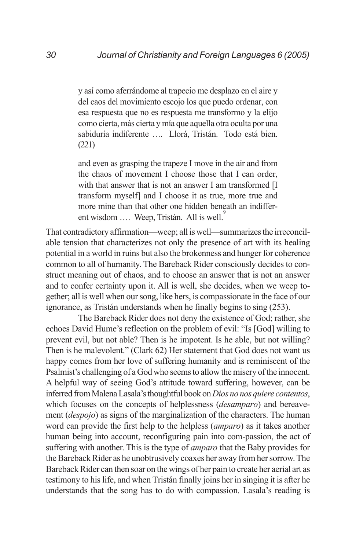y así como aferrándome al trapecio me desplazo en el aire y del caos del movimiento escojo los que puedo ordenar, con esa respuesta que no es respuesta me transformo y la elijo como cierta, más cierta y mía que aquella otra oculta por una sabiduría indiferente …. Llorá, Tristán. Todo está bien. (221)

and even as grasping the trapeze I move in the air and from the chaos of movement I choose those that I can order, with that answer that is not an answer I am transformed [I transform myself] and I choose it as true, more true and more mine than that other one hidden beneath an indifferent wisdom .... Weep, Tristán. All is well.

That contradictory affirmation—weep; all is well—summarizes the irreconcilable tension that characterizes not only the presence of art with its healing potential in a world in ruins but also the brokenness and hunger for coherence common to all of humanity. The Bareback Rider consciously decides to construct meaning out of chaos, and to choose an answer that is not an answer and to confer certainty upon it. All is well, she decides, when we weep together; all is well when our song, like hers, is compassionate in the face of our ignorance, as Tristán understands when he finally begins to sing (253).

The Bareback Rider does not deny the existence of God; rather, she echoes David Hume's reflection on the problem of evil: "Is [God] willing to prevent evil, but not able? Then is he impotent. Is he able, but not willing? Then is he malevolent." (Clark 62) Her statement that God does not want us happy comes from her love of suffering humanity and is reminiscent of the Psalmist's challenging of a God who seems to allow the misery of the innocent. A helpful way of seeing God's attitude toward suffering, however, can be inferred from Malena Lasala's thoughtful book on *Dios no nos quiere contentos*, which focuses on the concepts of helplessness (*desamparo*) and bereavement (*despojo*) as signs of the marginalization of the characters. The human word can provide the first help to the helpless (*amparo*) as it takes another human being into account, reconfiguring pain into com-passion, the act of suffering with another. This is the type of *amparo* that the Baby provides for the Bareback Rider as he unobtrusively coaxes her away from her sorrow. The Bareback Rider can then soar on the wings of her pain to create her aerial art as testimony to his life, and when Tristán finally joins her in singing it is after he understands that the song has to do with compassion. Lasala's reading is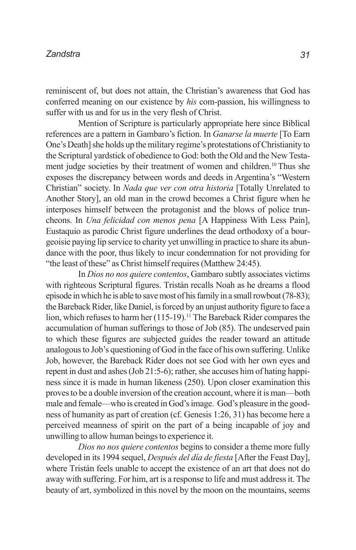reminiscent of, but does not attain, the Christian's awareness that God has conferred meaning on our existence by *his* com-passion, his willingness to suffer with us and for us in the very flesh of Christ.

Mention of Scripture is particularly appropriate here since Biblical references are a pattern in Gambaro's fiction. In *Ganarse la muerte* [To Earn One's Death] she holds up the military regime's protestations of Christianity to the Scriptural yardstick of obedience to God: both the Old and the New Testament judge societies by their treatment of women and children.<sup>10</sup> Thus she exposes the discrepancy between words and deeds in Argentina's "Western Christian" society. In *Nada que ver con otra historia* [Totally Unrelated to Another Story], an old man in the crowd becomes a Christ figure when he interposes himself between the protagonist and the blows of police truncheons. In *Una felicidad con menos pena* [A Happiness With Less Pain], Eustaquio as parodic Christ figure underlines the dead orthodoxy of a bourgeoisie paying lip service to charity yet unwilling in practice to share its abundance with the poor, thus likely to incur condemnation for not providing for "the least of these" as Christ himself requires (Matthew 24:45).

In *Dios no nos quiere contentos*, Gambaro subtly associates victims with righteous Scriptural figures. Tristán recalls Noah as he dreams a flood episode in which he is able to save most of his family in a small rowboat (78-83); the Bareback Rider, like Daniel, is forced by an unjust authority figure to face a lion, which refuses to harm her (115-19).<sup>11</sup> The Bareback Rider compares the accumulation of human sufferings to those of Job (85). The undeserved pain to which these figures are subjected guides the reader toward an attitude analogous to Job's questioning of God in the face of his own suffering. Unlike Job, however, the Bareback Rider does not see God with her own eyes and repent in dust and ashes (Job 21:5-6); rather, she accuses him of hating happiness since it is made in human likeness (250). Upon closer examination this proves to be a double inversion of the creation account, where it is man—both male and female—who is created in God's image. God's pleasure in the goodness of humanity as part of creation (cf. Genesis 1:26, 31) has become here a perceived meanness of spirit on the part of a being incapable of joy and unwilling to allow human beings to experience it.

*Dios no nos quiere contentos* begins to consider a theme more fully developed in its 1994 sequel, *Después del día de fiesta* [After the Feast Day], where Tristán feels unable to accept the existence of an art that does not do away with suffering. For him, art is a response to life and must address it. The beauty of art, symbolized in this novel by the moon on the mountains, seems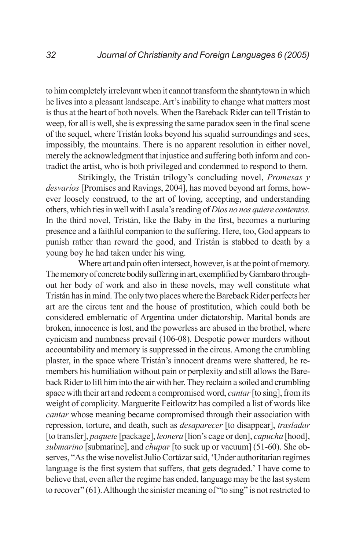to him completely irrelevant when it cannot transform the shantytown in which he lives into a pleasant landscape. Art's inability to change what matters most is thus at the heart of both novels. When the Bareback Rider can tell Tristán to weep, for all is well, she is expressing the same paradox seen in the final scene of the sequel, where Tristán looks beyond his squalid surroundings and sees, impossibly, the mountains. There is no apparent resolution in either novel, merely the acknowledgment that injustice and suffering both inform and contradict the artist, who is both privileged and condemned to respond to them.

Strikingly, the Tristán trilogy's concluding novel, *Promesas y desvaríos* [Promises and Ravings, 2004], has moved beyond art forms, however loosely construed, to the art of loving, accepting, and understanding others, which ties in well with Lasala's reading of *Dios no nos quiere contentos.* In the third novel, Tristán, like the Baby in the first, becomes a nurturing presence and a faithful companion to the suffering. Here, too, God appears to punish rather than reward the good, and Tristán is stabbed to death by a young boy he had taken under his wing.

Where art and pain often intersect, however, is at the point of memory. The memory of concrete bodily suffering in art, exemplified by Gambaro throughout her body of work and also in these novels, may well constitute what Tristán has in mind. The only two places where the Bareback Rider perfects her art are the circus tent and the house of prostitution, which could both be considered emblematic of Argentina under dictatorship. Marital bonds are broken, innocence is lost, and the powerless are abused in the brothel, where cynicism and numbness prevail (106-08). Despotic power murders without accountability and memory is suppressed in the circus. Among the crumbling plaster, in the space where Tristán's innocent dreams were shattered, he remembers his humiliation without pain or perplexity and still allows the Bareback Rider to lift him into the air with her. They reclaim a soiled and crumbling space with their art and redeem a compromised word, *cantar* [to sing], from its weight of complicity. Marguerite Feitlowitz has compiled a list of words like *cantar* whose meaning became compromised through their association with repression, torture, and death, such as *desaparecer* [to disappear], *trasladar* [to transfer], *paquete* [package], *leonera* [lion's cage or den], *capucha* [hood], *submarino* [submarine], and *chupar* [to suck up or vacuum] (51-60). She observes, "As the wise novelist Julio Cortázar said, 'Under authoritarian regimes language is the first system that suffers, that gets degraded.' I have come to believe that, even after the regime has ended, language may be the last system to recover" (61). Although the sinister meaning of "to sing" is not restricted to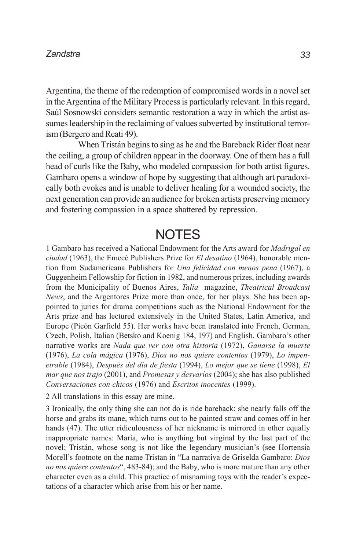Argentina, the theme of the redemption of compromised words in a novel set in the Argentina of the Military Process is particularly relevant. In this regard, Saúl Sosnowski considers semantic restoration a way in which the artist assumes leadership in the reclaiming of values subverted by institutional terrorism (Bergero and Reati 49).

When Tristán begins to sing as he and the Bareback Rider float near the ceiling, a group of children appear in the doorway. One of them has a full head of curls like the Baby, who modeled compassion for both artist figures. Gambaro opens a window of hope by suggesting that although art paradoxically both evokes and is unable to deliver healing for a wounded society, the next generation can provide an audience for broken artists preserving memory and fostering compassion in a space shattered by repression.

### **NOTES**

1 Gambaro has received a National Endowment for the Arts award for *Madrigal en ciudad* (1963), the Emecé Publishers Prize for *El desatino* (1964), honorable mention from Sudamericana Publishers for *Una felicidad con menos pena* (1967), a Guggenheim Fellowship for fiction in 1982, and numerous prizes, including awards from the Municipality of Buenos Aires, *Talía* magazine, *Theatrical Broadcast News*, and the Argentores Prize more than once, for her plays. She has been appointed to juries for drama competitions such as the National Endowment for the Arts prize and has lectured extensively in the United States, Latin America, and Europe (Picón Garfield 55). Her works have been translated into French, German, Czech, Polish, Italian (Betsko and Koenig 184, 197) and English. Gambaro's other narrative works are *Nada que ver con otra historia* (1972), *Ganarse la muerte* (1976), *La cola mágica* (1976), *Dios no nos quiere contentos* (1979), *Lo impenetrable* (1984), *Después del día de fiesta* (1994), *Lo mejor que se tiene* (1998), *El mar que nos trajo* (2001), and *Promesas y desvaríos* (2004); she has also published *Conversaciones con chicos* (1976) and *Escritos inocentes* (1999).

2 All translations in this essay are mine.

3 Ironically, the only thing she can not do is ride bareback: she nearly falls off the horse and grabs its mane, which turns out to be painted straw and comes off in her hands (47). The utter ridiculousness of her nickname is mirrored in other equally inappropriate names: María, who is anything but virginal by the last part of the novel; Tristán, whose song is not like the legendary musician's (see Hortensia Morell's footnote on the name Tristan in "La narrativa de Griselda Gambaro: *Dios no nos quiere contentos*", 483-84); and the Baby, who is more mature than any other character even as a child. This practice of misnaming toys with the reader's expectations of a character which arise from his or her name.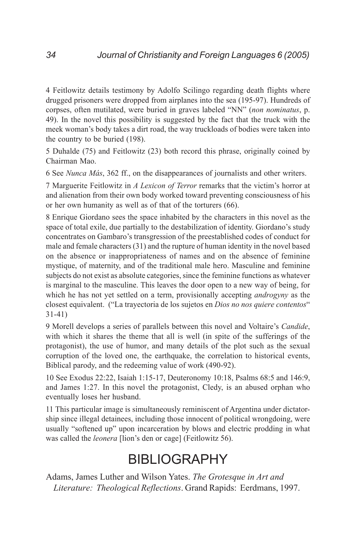4 Feitlowitz details testimony by Adolfo Scilingo regarding death flights where drugged prisoners were dropped from airplanes into the sea (195-97). Hundreds of corpses, often mutilated, were buried in graves labeled "NN" (*non nominatus*, p. 49). In the novel this possibility is suggested by the fact that the truck with the meek woman's body takes a dirt road, the way truckloads of bodies were taken into the country to be buried (198).

5 Duhalde (75) and Feitlowitz (23) both record this phrase, originally coined by Chairman Mao.

6 See *Nunca Más*, 362 ff., on the disappearances of journalists and other writers.

7 Marguerite Feitlowitz in *A Lexicon of Terror* remarks that the victim's horror at and alienation from their own body worked toward preventing consciousness of his or her own humanity as well as of that of the torturers (66).

8 Enrique Giordano sees the space inhabited by the characters in this novel as the space of total exile, due partially to the destabilization of identity. Giordano's study concentrates on Gambaro's transgression of the preestablished codes of conduct for male and female characters (31) and the rupture of human identity in the novel based on the absence or inappropriateness of names and on the absence of feminine mystique, of maternity, and of the traditional male hero. Masculine and feminine subjects do not exist as absolute categories, since the feminine functions as whatever is marginal to the masculine. This leaves the door open to a new way of being, for which he has not yet settled on a term, provisionally accepting *androgyny* as the closest equivalent. ("La trayectoria de los sujetos en *Dios no nos quiere contentos*" 31-41)

9 Morell develops a series of parallels between this novel and Voltaire's *Candide*, with which it shares the theme that all is well (in spite of the sufferings of the protagonist), the use of humor, and many details of the plot such as the sexual corruption of the loved one, the earthquake, the correlation to historical events, Biblical parody, and the redeeming value of work (490-92).

10 See Exodus 22:22, Isaiah 1:15-17, Deuteronomy 10:18, Psalms 68:5 and 146:9, and James 1:27. In this novel the protagonist, Cledy, is an abused orphan who eventually loses her husband.

11 This particular image is simultaneously reminiscent of Argentina under dictatorship since illegal detainees, including those innocent of political wrongdoing, were usually "softened up" upon incarceration by blows and electric prodding in what was called the *leonera* [lion's den or cage] (Feitlowitz 56).

## **BIBLIOGRAPHY**

Adams, James Luther and Wilson Yates. *The Grotesque in Art and Literature: Theological Reflections*. Grand Rapids: Eerdmans, 1997.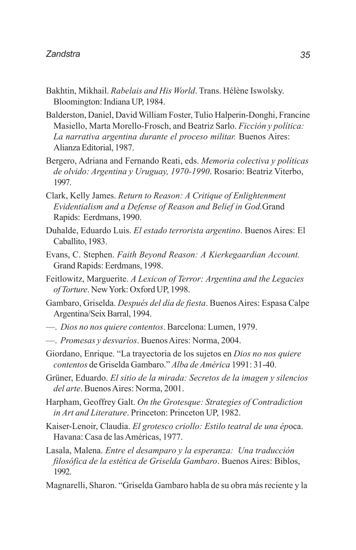- Bakhtin, Mikhail. *Rabelais and His World*. Trans. Hélène Iswolsky. Bloomington: Indiana UP, 1984.
- Balderston, Daniel, David William Foster, Tulio Halperin-Donghi, Francine Masiello, Marta Morello-Frosch, and Beatriz Sarlo. *Ficción y política: La narrativa argentina durante el proceso militar.* Buenos Aires: Alianza Editorial, 1987.
- Bergero, Adriana and Fernando Reati, eds. *Memoria colectiva y políticas de olvido: Argentina y Uruguay, 1970-1990*. Rosario: Beatriz Viterbo, 1997.
- Clark, Kelly James. *Return to Reason: A Critique of Enlightenment Evidentialism and a Defense of Reason and Belief in God.*Grand Rapids: Eerdmans, 1990.
- Duhalde, Eduardo Luis. *El estado terrorista argentino*. Buenos Aires: El Caballito, 1983.
- Evans, C. Stephen. *Faith Beyond Reason: A Kierkegaardian Account.* Grand Rapids: Eerdmans, 1998.
- Feitlowitz, Marguerite. *A Lexicon of Terror: Argentina and the Legacies of Torture*. New York: Oxford UP, 1998.
- Gambaro, Griselda. *Después del día de fiesta*. Buenos Aires: Espasa Calpe Argentina/Seix Barral, 1994.
- —. *Dios no nos quiere contentos*. Barcelona: Lumen, 1979.
- —. *Promesas y desvaríos*. Buenos Aires: Norma, 2004.
- Giordano, Enrique. "La trayectoria de los sujetos en *Dios no nos quiere contentos* de Griselda Gambaro." *Alba de América* 1991: 31-40.
- Grüner, Eduardo. *El sitio de la mirada: Secretos de la imagen y silencios del arte*. Buenos Aires: Norma, 2001.
- Harpham, Geoffrey Galt. *On the Grotesque: Strategies of Contradiction in Art and Literature*. Princeton: Princeton UP, 1982.
- Kaiser-Lenoir, Claudia. *El grotesco criollo: Estilo teatral de una ép*oca. Havana: Casa de las Américas, 1977.
- Lasala, Malena. *Entre el desamparo y la esperanza: Una traducción filosófica de la estética de Griselda Gambaro*. Buenos Aires: Biblos, 1992.
- Magnarelli, Sharon. "Griselda Gambaro habla de su obra más reciente y la